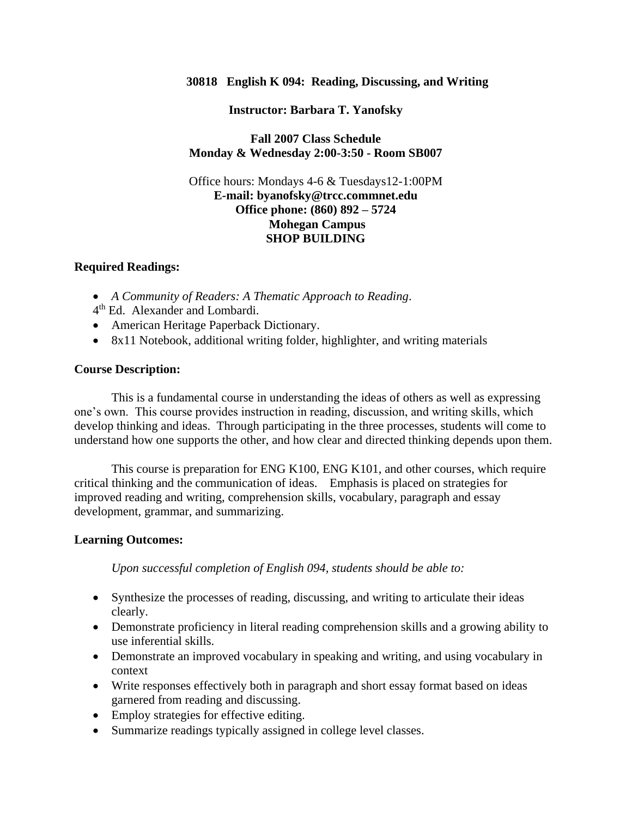#### **30818 English K 094: Reading, Discussing, and Writing**

**Instructor: Barbara T. Yanofsky**

### **Fall 2007 Class Schedule Monday & Wednesday 2:00-3:50 - Room SB007**

### Office hours: Mondays 4-6 & Tuesdays12-1:00PM **E-mail: byanofsky@trcc.commnet.edu Office phone: (860) 892 – 5724 Mohegan Campus SHOP BUILDING**

#### **Required Readings:**

- *A Community of Readers: A Thematic Approach to Reading*.
- 4 th Ed. Alexander and Lombardi.
- American Heritage Paperback Dictionary.
- 8x11 Notebook, additional writing folder, highlighter, and writing materials

#### **Course Description:**

This is a fundamental course in understanding the ideas of others as well as expressing one's own. This course provides instruction in reading, discussion, and writing skills, which develop thinking and ideas. Through participating in the three processes, students will come to understand how one supports the other, and how clear and directed thinking depends upon them.

This course is preparation for ENG K100, ENG K101, and other courses, which require critical thinking and the communication of ideas. Emphasis is placed on strategies for improved reading and writing, comprehension skills, vocabulary, paragraph and essay development, grammar, and summarizing.

#### **Learning Outcomes:**

*Upon successful completion of English 094, students should be able to:*

- Synthesize the processes of reading, discussing, and writing to articulate their ideas clearly.
- Demonstrate proficiency in literal reading comprehension skills and a growing ability to use inferential skills.
- Demonstrate an improved vocabulary in speaking and writing, and using vocabulary in context
- Write responses effectively both in paragraph and short essay format based on ideas garnered from reading and discussing.
- Employ strategies for effective editing.
- Summarize readings typically assigned in college level classes.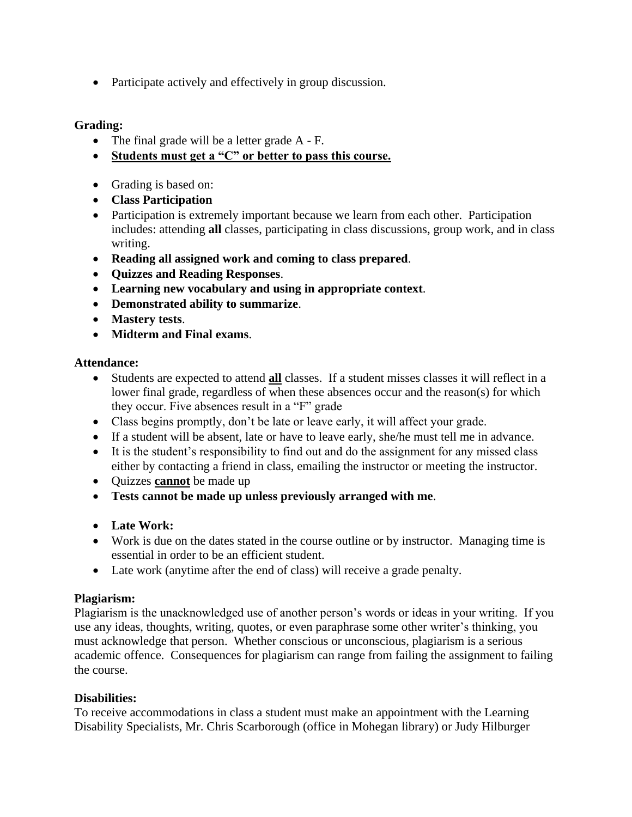• Participate actively and effectively in group discussion.

## **Grading:**

- The final grade will be a letter grade A F.
- **Students must get a "C" or better to pass this course.**
- Grading is based on:
- **Class Participation**
- Participation is extremely important because we learn from each other. Participation includes: attending **all** classes, participating in class discussions, group work, and in class writing.
- **Reading all assigned work and coming to class prepared**.
- **Quizzes and Reading Responses**.
- **Learning new vocabulary and using in appropriate context**.
- **Demonstrated ability to summarize**.
- **Mastery tests**.
- **Midterm and Final exams**.

## **Attendance:**

- Students are expected to attend **all** classes. If a student misses classes it will reflect in a lower final grade, regardless of when these absences occur and the reason(s) for which they occur. Five absences result in a "F" grade
- Class begins promptly, don't be late or leave early, it will affect your grade.
- If a student will be absent, late or have to leave early, she/he must tell me in advance.
- It is the student's responsibility to find out and do the assignment for any missed class either by contacting a friend in class, emailing the instructor or meeting the instructor.
- Quizzes **cannot** be made up
- **Tests cannot be made up unless previously arranged with me**.
- **Late Work:**
- Work is due on the dates stated in the course outline or by instructor. Managing time is essential in order to be an efficient student.
- Late work (anytime after the end of class) will receive a grade penalty.

## **Plagiarism:**

Plagiarism is the unacknowledged use of another person's words or ideas in your writing. If you use any ideas, thoughts, writing, quotes, or even paraphrase some other writer's thinking, you must acknowledge that person. Whether conscious or unconscious, plagiarism is a serious academic offence. Consequences for plagiarism can range from failing the assignment to failing the course.

## **Disabilities:**

To receive accommodations in class a student must make an appointment with the Learning Disability Specialists, Mr. Chris Scarborough (office in Mohegan library) or Judy Hilburger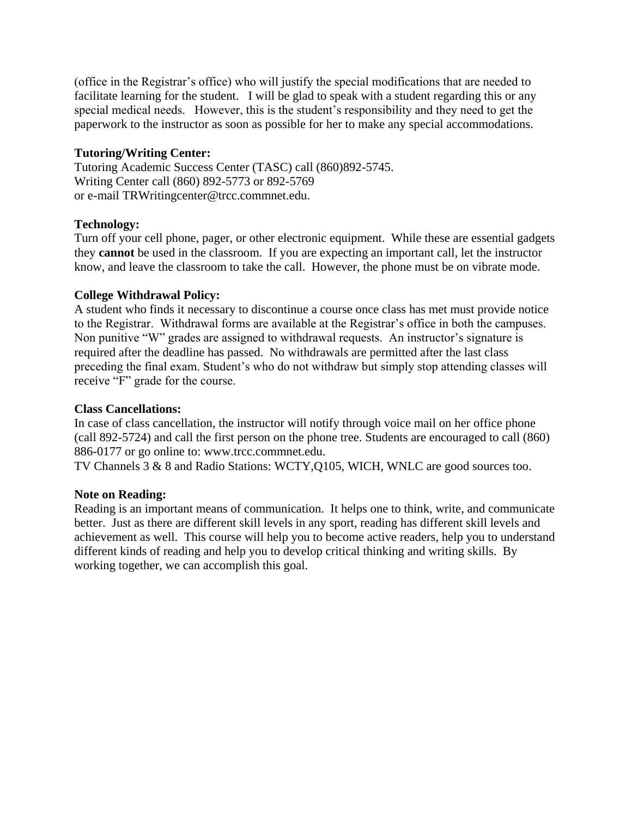(office in the Registrar's office) who will justify the special modifications that are needed to facilitate learning for the student. I will be glad to speak with a student regarding this or any special medical needs. However, this is the student's responsibility and they need to get the paperwork to the instructor as soon as possible for her to make any special accommodations.

### **Tutoring/Writing Center:**

Tutoring Academic Success Center (TASC) call (860)892-5745. Writing Center call (860) 892-5773 or 892-5769 or e-mail TRWritingcenter@trcc.commnet.edu.

## **Technology:**

Turn off your cell phone, pager, or other electronic equipment. While these are essential gadgets they **cannot** be used in the classroom. If you are expecting an important call, let the instructor know, and leave the classroom to take the call. However, the phone must be on vibrate mode.

### **College Withdrawal Policy:**

A student who finds it necessary to discontinue a course once class has met must provide notice to the Registrar. Withdrawal forms are available at the Registrar's office in both the campuses. Non punitive "W" grades are assigned to withdrawal requests. An instructor's signature is required after the deadline has passed. No withdrawals are permitted after the last class preceding the final exam. Student's who do not withdraw but simply stop attending classes will receive "F" grade for the course.

#### **Class Cancellations:**

In case of class cancellation, the instructor will notify through voice mail on her office phone (call 892-5724) and call the first person on the phone tree. Students are encouraged to call (860) 886-0177 or go online to: www.trcc.commnet.edu.

TV Channels 3 & 8 and Radio Stations: WCTY,Q105, WICH, WNLC are good sources too.

#### **Note on Reading:**

Reading is an important means of communication. It helps one to think, write, and communicate better. Just as there are different skill levels in any sport, reading has different skill levels and achievement as well. This course will help you to become active readers, help you to understand different kinds of reading and help you to develop critical thinking and writing skills. By working together, we can accomplish this goal.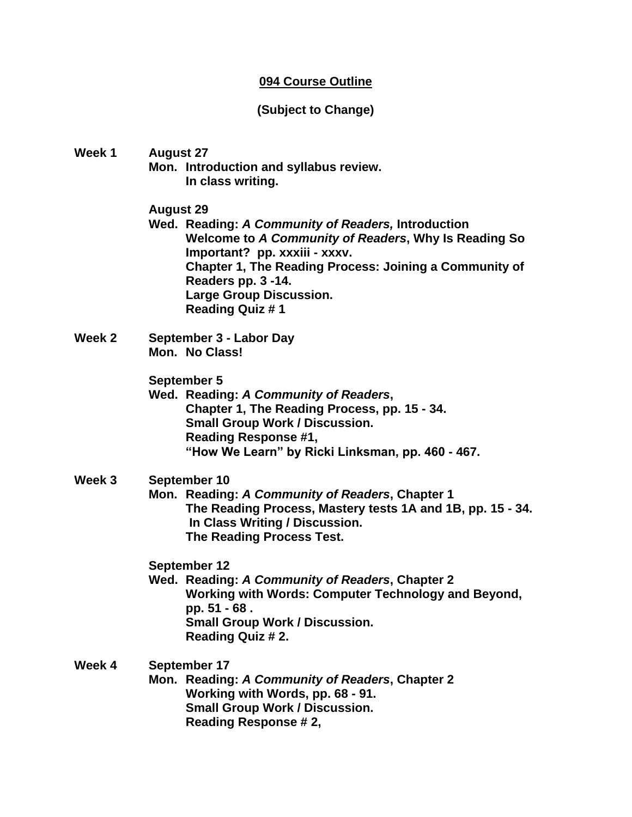## **094 Course Outline**

# **(Subject to Change)**

**Week 1 August 27 Mon. Introduction and syllabus review. In class writing. August 29**

**Wed. Reading:** *A Community of Readers,* **Introduction Welcome to** *A Community of Readers***, Why Is Reading So Important? pp. xxxiii - xxxv. Chapter 1, The Reading Process: Joining a Community of Readers pp. 3 -14. Large Group Discussion. Reading Quiz # 1**

**Week 2 September 3 - Labor Day Mon. No Class!**

### **September 5**

**Wed. Reading:** *A Community of Readers***, Chapter 1, The Reading Process, pp. 15 - 34. Small Group Work / Discussion. Reading Response #1, "How We Learn" by Ricki Linksman, pp. 460 - 467.**

## **Week 3 September 10**

**Mon. Reading:** *A Community of Readers***, Chapter 1 The Reading Process, Mastery tests 1A and 1B, pp. 15 - 34. In Class Writing / Discussion. The Reading Process Test.**

**September 12**

**Wed. Reading:** *A Community of Readers***, Chapter 2 Working with Words: Computer Technology and Beyond, pp. 51 - 68 . Small Group Work / Discussion. Reading Quiz # 2.**

**Week 4 September 17 Mon. Reading:** *A Community of Readers***, Chapter 2 Working with Words, pp. 68 - 91. Small Group Work / Discussion. Reading Response # 2,**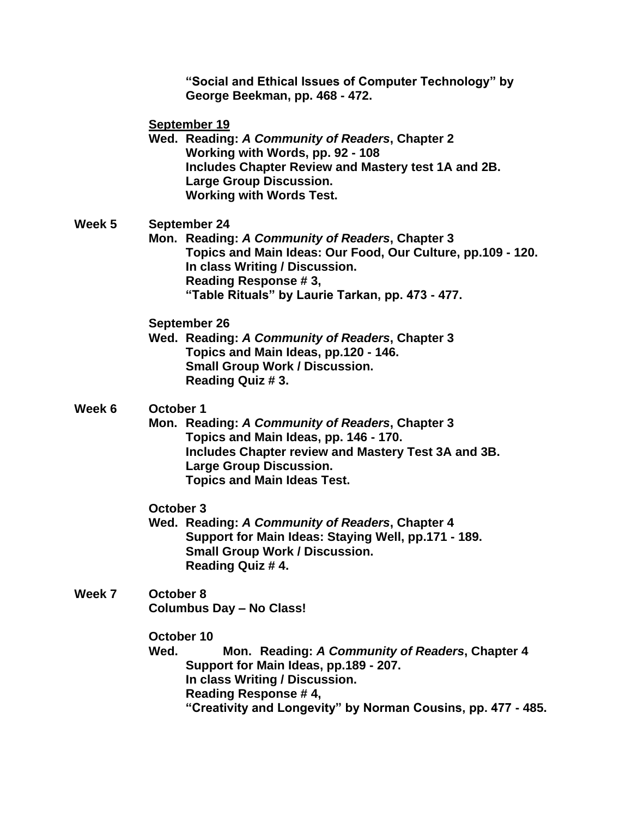**"Social and Ethical Issues of Computer Technology" by George Beekman, pp. 468 - 472.**

**September 19**

**Wed. Reading:** *A Community of Readers***, Chapter 2 Working with Words, pp. 92 - 108 Includes Chapter Review and Mastery test 1A and 2B. Large Group Discussion. Working with Words Test.**

### **Week 5 September 24**

**Mon. Reading:** *A Community of Readers***, Chapter 3 Topics and Main Ideas: Our Food, Our Culture, pp.109 - 120. In class Writing / Discussion. Reading Response # 3, "Table Rituals" by Laurie Tarkan, pp. 473 - 477.**

**September 26**

**Wed. Reading:** *A Community of Readers***, Chapter 3 Topics and Main Ideas, pp.120 - 146. Small Group Work / Discussion. Reading Quiz # 3.**

### **Week 6 October 1**

**Mon. Reading:** *A Community of Readers***, Chapter 3 Topics and Main Ideas, pp. 146 - 170. Includes Chapter review and Mastery Test 3A and 3B. Large Group Discussion. Topics and Main Ideas Test.**

### **October 3**

**Wed. Reading:** *A Community of Readers***, Chapter 4 Support for Main Ideas: Staying Well, pp.171 - 189. Small Group Work / Discussion. Reading Quiz # 4.**

**Week 7 October 8 Columbus Day – No Class!**

**October 10**

**Wed. Mon. Reading:** *A Community of Readers***, Chapter 4 Support for Main Ideas, pp.189 - 207. In class Writing / Discussion. Reading Response # 4, "Creativity and Longevity" by Norman Cousins, pp. 477 - 485.**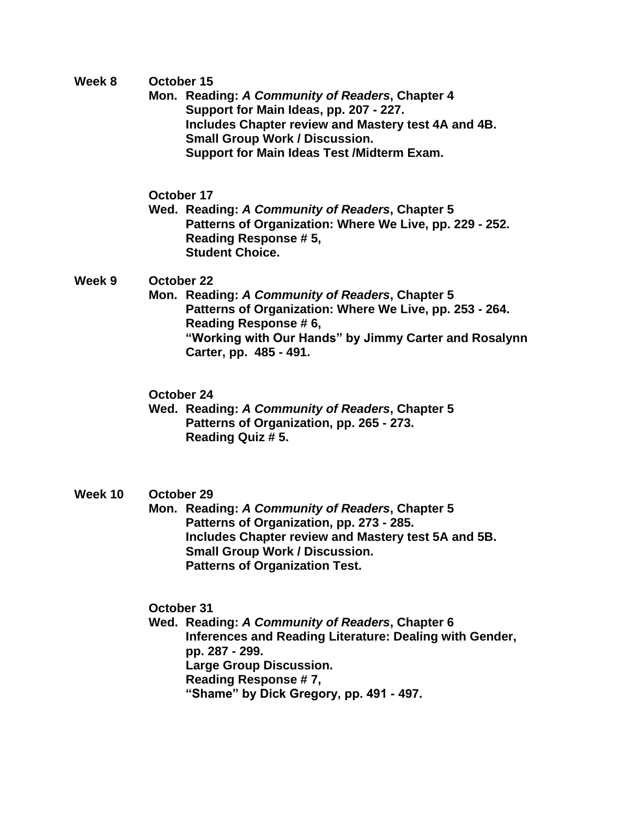**Week 8 October 15**

**Mon. Reading:** *A Community of Readers***, Chapter 4 Support for Main Ideas, pp. 207 - 227. Includes Chapter review and Mastery test 4A and 4B. Small Group Work / Discussion. Support for Main Ideas Test /Midterm Exam.**

**October 17**

**Wed. Reading:** *A Community of Readers***, Chapter 5 Patterns of Organization: Where We Live, pp. 229 - 252. Reading Response # 5, Student Choice.**

**Week 9 October 22**

**Mon. Reading:** *A Community of Readers***, Chapter 5 Patterns of Organization: Where We Live, pp. 253 - 264. Reading Response # 6, "Working with Our Hands" by Jimmy Carter and Rosalynn Carter, pp. 485 - 491.**

**October 24**

**Wed. Reading:** *A Community of Readers***, Chapter 5 Patterns of Organization, pp. 265 - 273. Reading Quiz # 5.**

## **Week 10 October 29**

**Mon. Reading:** *A Community of Readers***, Chapter 5 Patterns of Organization, pp. 273 - 285. Includes Chapter review and Mastery test 5A and 5B. Small Group Work / Discussion. Patterns of Organization Test.**

**October 31**

**Wed. Reading:** *A Community of Readers***, Chapter 6 Inferences and Reading Literature: Dealing with Gender, pp. 287 - 299. Large Group Discussion. Reading Response # 7, "Shame" by Dick Gregory, pp. 491 - 497.**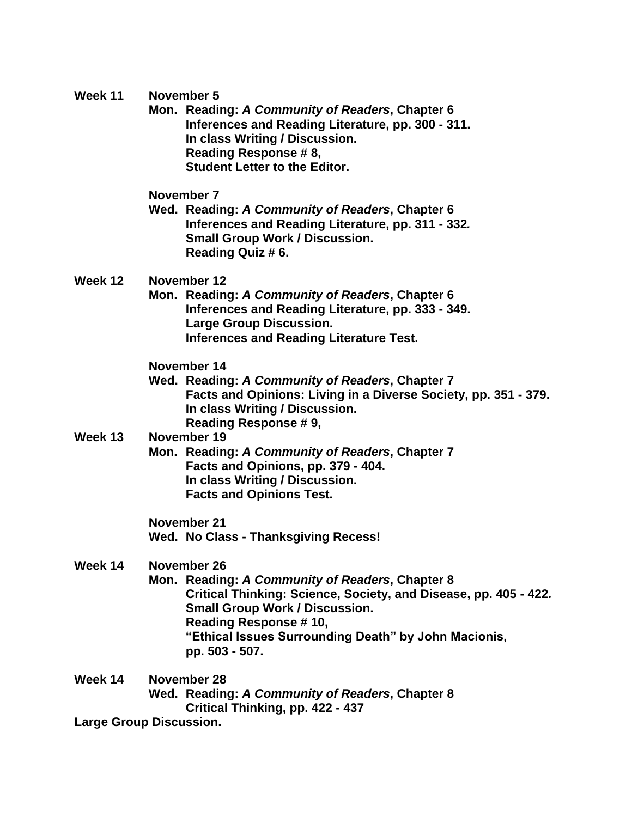| Week 11 | November 5 |
|---------|------------|
|---------|------------|

**Mon. Reading:** *A Community of Readers***, Chapter 6 Inferences and Reading Literature, pp. 300 - 311. In class Writing / Discussion. Reading Response # 8, Student Letter to the Editor.**

**November 7**

**Wed. Reading:** *A Community of Readers***, Chapter 6 Inferences and Reading Literature, pp. 311 - 332***.* **Small Group Work / Discussion. Reading Quiz # 6.**

**Week 12 November 12**

**Mon. Reading:** *A Community of Readers***, Chapter 6 Inferences and Reading Literature, pp. 333 - 349. Large Group Discussion. Inferences and Reading Literature Test.**

#### **November 14**

**Wed. Reading:** *A Community of Readers***, Chapter 7 Facts and Opinions: Living in a Diverse Society, pp. 351 - 379. In class Writing / Discussion. Reading Response # 9,**

# **Week 13 November 19**

**Mon. Reading:** *A Community of Readers***, Chapter 7 Facts and Opinions, pp. 379 - 404. In class Writing / Discussion. Facts and Opinions Test.**

**November 21 Wed. No Class - Thanksgiving Recess!**

#### **Week 14 November 26**

- **Mon. Reading:** *A Community of Readers***, Chapter 8 Critical Thinking: Science, Society, and Disease, pp. 405 - 422***.* **Small Group Work / Discussion. Reading Response # 10, "Ethical Issues Surrounding Death" by John Macionis, pp. 503 - 507.**
- **Week 14 November 28 Wed. Reading:** *A Community of Readers***, Chapter 8 Critical Thinking, pp. 422 - 437 Large Group Discussion.**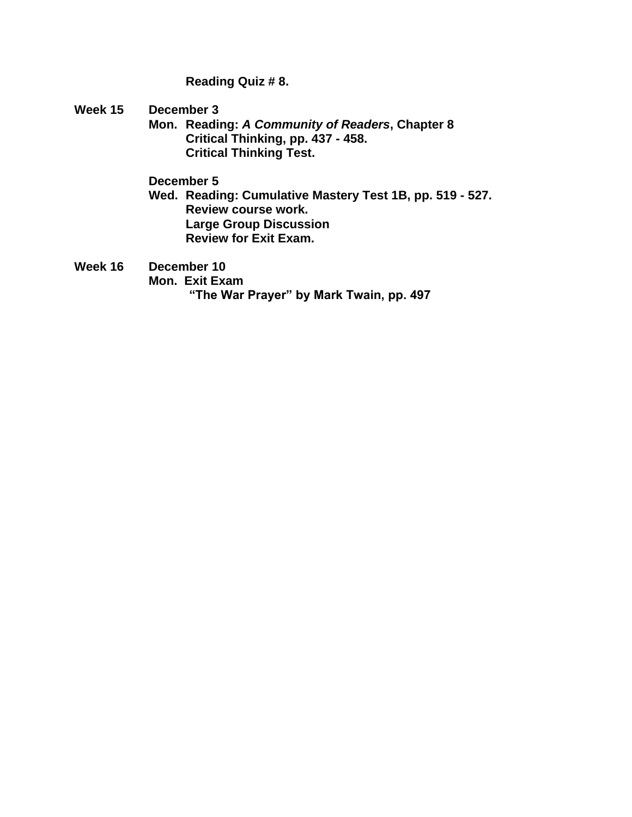**Reading Quiz # 8.**

**Week 15 December 3**

**Mon. Reading:** *A Community of Readers***, Chapter 8 Critical Thinking, pp. 437 - 458. Critical Thinking Test.**

**December 5**

**Wed. Reading: Cumulative Mastery Test 1B, pp. 519 - 527. Review course work. Large Group Discussion Review for Exit Exam.**

**Week 16 December 10 Mon. Exit Exam "The War Prayer" by Mark Twain, pp. 497**